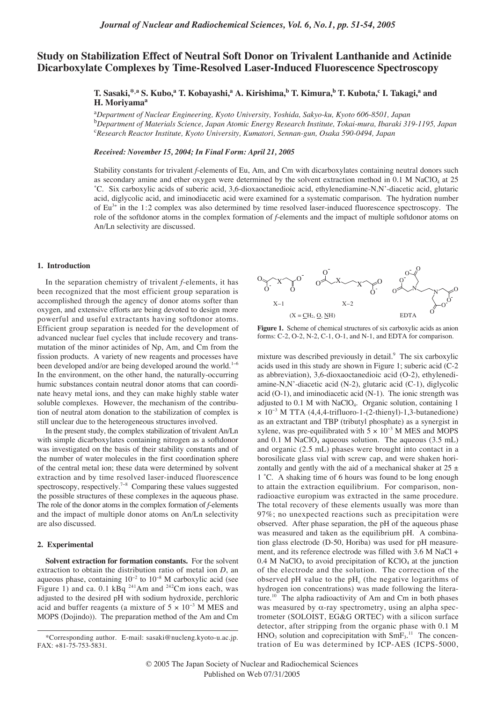# **Study on Stabilization Effect of Neutral Soft Donor on Trivalent Lanthanide and Actinide Dicarboxylate Complexes by Time-Resolved Laser-Induced Fluorescence Spectroscopy**

## $\bf{T.}$  Sasaki,\*,a^ S. Kubo,a^ T. Kobayashi,a^ A. Kirishima,<sup>b</sup> T. Kimura,<sup>b</sup> T. Kubota,<sup>c</sup> I. Takagi,a^ and **H. Moriyama<sup>a</sup>**

a *Department of Nuclear Engineering, Kyoto University, Yoshida, Sakyo-ku, Kyoto 606-8501, Japan* b *Department of Materials Science, Japan Atomic Energy Research Institute, Tokai-mura, Ibaraki 319-1195, Japan*  c *Research Reactor Institute, Kyoto University, Kumatori, Sennan-gun, Osaka 590-0494, Japan*

### *Received: November 15, 2004; In Final Form: April 21, 2005*

Stability constants for trivalent *f*-elements of Eu, Am, and Cm with dicarboxylates containing neutral donors such as secondary amine and ether oxygen were determined by the solvent extraction method in  $0.1$  M NaClO<sub>4</sub> at 25 ˚C. Six carboxylic acids of suberic acid, 3,6-dioxaoctanedioic acid, ethylenediamine-N,N'-diacetic acid, glutaric acid, diglycolic acid, and iminodiacetic acid were examined for a systematic comparison. The hydration number of  $Eu<sup>3+</sup>$  in the 1:2 complex was also determined by time resolved laser-induced fluorescence spectroscopy. The role of the softdonor atoms in the complex formation of *f*-elements and the impact of multiple softdonor atoms on An/Ln selectivity are discussed.

## **1. Introduction**

In the separation chemistry of trivalent *f*-elements, it has been recognized that the most efficient group separation is accomplished through the agency of donor atoms softer than oxygen, and extensive efforts are being devoted to design more powerful and useful extractants having softdonor atoms. Efficient group separation is needed for the development of advanced nuclear fuel cycles that include recovery and transmutation of the minor actinides of Np, Am, and Cm from the fission products. A variety of new reagents and processes have been developed and/or are being developed around the world.<sup>1−6</sup> In the environment, on the other hand, the naturally-occurring humic substances contain neutral donor atoms that can coordinate heavy metal ions, and they can make highly stable water soluble complexes. However, the mechanism of the contribution of neutral atom donation to the stabilization of complex is still unclear due to the heterogeneous structures involved.

In the present study, the complex stabilization of trivalent An/Ln with simple dicarboxylates containing nitrogen as a softdonor was investigated on the basis of their stability constants and of the number of water molecules in the first coordination sphere of the central metal ion; these data were determined by solvent extraction and by time resolved laser-induced fluorescence spectroscopy, respectively.<sup>7-8</sup> Comparing these values suggested the possible structures of these complexes in the aqueous phase. The role of the donor atoms in the complex formation of *f*-elements and the impact of multiple donor atoms on An/Ln selectivity are also discussed.

## **2. Experimental**

**Solvent extraction for formation constants.** For the solvent extraction to obtain the distribution ratio of metal ion *D*, an aqueous phase, containing  $10^{-2}$  to  $10^{-8}$  M carboxylic acid (see Figure 1) and ca. 0.1 kBq  $^{241}$ Am and  $^{242}$ Cm ions each, was adjusted to the desired pH with sodium hydroxide, perchloric acid and buffer reagents (a mixture of  $5 \times 10^{-3}$  M MES and MOPS (Dojindo)). The preparation method of the Am and Cm



**Figure 1.** Scheme of chemical structures of six carboxylic acids as anion forms: C-2, O-2, N-2, C-1, O-1, and N-1, and EDTA for comparison.

mixture was described previously in detail.<sup>9</sup> The six carboxylic acids used in this study are shown in Figure 1; suberic acid (C-2 as abbreviation), 3,6-dioxaoctanedioic acid (O-2), ethylenediamine-N,N'-diacetic acid (N-2), glutaric acid (C-1), diglycolic acid (O-1), and iminodiacetic acid (N-1). The ionic strength was adjusted to 0.1 M with NaClO4. Organic solution, containing 1 × 10<sup>−</sup><sup>3</sup> M TTA (4,4,4-trifluoro-1-(2-thienyl)-1,3-butanedione) as an extractant and TBP (tributyl phosphate) as a synergist in xylene, was pre-equilibrated with  $5 \times 10^{-3}$  M MES and MOPS and 0.1 M NaClO<sub>4</sub> aqueous solution. The aqueous  $(3.5 \text{ mL})$ and organic (2.5 mL) phases were brought into contact in a borosilicate glass vial with screw cap, and were shaken horizontally and gently with the aid of a mechanical shaker at  $25 \pm$ 1 ˚C. A shaking time of 6 hours was found to be long enough to attain the extraction equilibrium. For comparison, nonradioactive europium was extracted in the same procedure. The total recovery of these elements usually was more than 97%; no unexpected reactions such as precipitation were observed. After phase separation, the pH of the aqueous phase was measured and taken as the equilibrium pH. A combination glass electrode (D-50, Horiba) was used for pH measurement, and its reference electrode was filled with 3.6 M NaCl +  $0.4$  M NaClO<sub>4</sub> to avoid precipitation of KClO<sub>4</sub> at the junction of the electrode and the solution. The correction of the observed pH value to the  $pH_c$  (the negative logarithms of hydrogen ion concentrations) was made following the literature.<sup>10</sup> The alpha radioactivity of Am and Cm in both phases was measured by  $\alpha$ -ray spectrometry, using an alpha spectrometer (SOLOIST, EG&G ORTEC) with a silicon surface detector, after stripping from the organic phase with 0.1 M  $HNO<sub>3</sub>$  solution and coprecipitation with  $SmF<sub>3</sub>$ .<sup>11</sup> The concentration of Eu was determined by ICP-AES (ICPS-5000,

<sup>\*</sup>Corresponding author. E-mail: sasaki@nucleng.kyoto-u.ac.jp. FAX: +81-75-753-5831.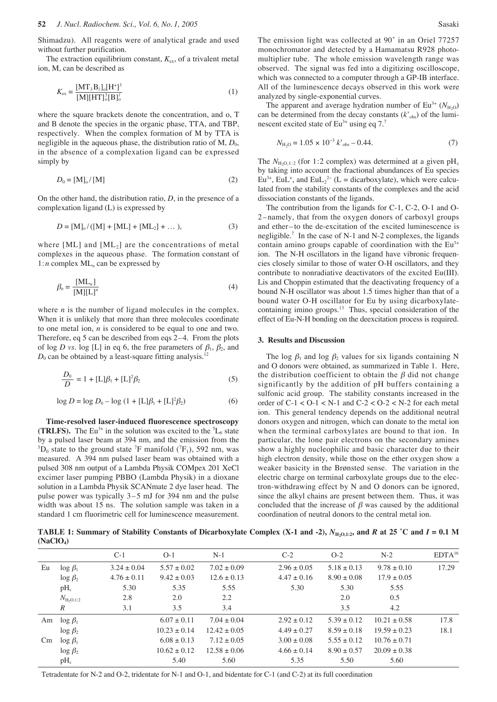Shimadzu). All reagents were of analytical grade and used without further purification.

The extraction equilibrium constant,  $K_{ex}$ , of a trivalent metal ion, M, can be described as

$$
K_{\rm ex} = \frac{[MT_3B_l]_0[H^+]^3}{[M][HT]_0^3[B]_0^l}
$$
 (1)

where the square brackets denote the concentration, and o, T and B denote the species in the organic phase, TTA, and TBP, respectively. When the complex formation of M by TTA is negligible in the aqueous phase, the distribution ratio of  $M$ ,  $D_0$ , in the absence of a complexation ligand can be expressed simply by

$$
D_0 = [\mathbf{M}]_0 / [\mathbf{M}] \tag{2}
$$

On the other hand, the distribution ratio, *D*, in the presence of a complexation ligand (L) is expressed by

$$
D = [M]_0 / ([M] + [ML] + [ML_2] + ... ), \tag{3}
$$

where  $[ML]$  and  $[ML_2]$  are the concentrations of metal complexes in the aqueous phase. The formation constant of 1:*n* complex ML*<sup>n</sup>* can be expressed by

$$
\beta_n = \frac{[\text{ML}_n]}{[\text{M}][\text{L}]^n} \tag{4}
$$

where *n* is the number of ligand molecules in the complex. When it is unlikely that more than three molecules coordinate to one metal ion, *n* is considered to be equal to one and two. Therefore, eq 5 can be described from eqs 2–4. From the plots of log *D* vs. log [L] in eq 6, the free parameters of  $\beta_1$ ,  $\beta_2$ , and  $D_0$  can be obtained by a least-square fitting analysis.<sup>12</sup>

$$
\frac{D_0}{D} = 1 + [L]\beta_1 + [L]^2 \beta_2 \tag{5}
$$

$$
\log D = \log D_0 - \log (1 + [L]\beta_1 + [L]^2 \beta_2)
$$
 (6)

**Time-resolved laser-induced fluorescence spectroscopy (TRLFS).** The Eu<sup>3+</sup> in the solution was excited to the  ${}^5L_6$  state by a pulsed laser beam at 394 nm, and the emission from the  ${}^5D_0$  state to the ground state <sup>7</sup>F manifold (<sup>7</sup>F<sub>1</sub>), 592 nm, was measured. A 394 nm pulsed laser beam was obtained with a pulsed 308 nm output of a Lambda Physik COMpex 201 XeCl excimer laser pumping PBBO (Lambda Physik) in a dioxane solution in a Lambda Physik SCANmate 2 dye laser head. The pulse power was typically 3–5 mJ for 394 nm and the pulse width was about 15 ns. The solution sample was taken in a standard 1 cm fluorimetric cell for luminescence measurement.

The emission light was collected at 90˚ in an Oriel 77257 monochromator and detected by a Hamamatsu R928 photomultiplier tube. The whole emission wavelength range was observed. The signal was fed into a digitizing oscilloscope, which was connected to a computer through a GP-IB interface. All of the luminescence decays observed in this work were analyzed by single-exponential curves.

The apparent and average hydration number of  $Eu^{3+} (N_{H_2O})$ can be determined from the decay constants  $(k<sub>obs</sub>)$  of the luminescent excited state of  $Eu^{3+}$  using eq 7.<sup>7</sup>

$$
N_{\text{H}_2\text{O}} = 1.05 \times 10^{-3} \, k'_{\text{obs}} - 0.44. \tag{7}
$$

The  $N_{\text{H}_2O,1:2}$  (for 1:2 complex) was determined at a given pH<sub>c</sub> by taking into account the fractional abundances of Eu species  $Eu<sup>3+</sup>$ , EuL<sup>+</sup>, and EuL<sub>2</sub><sup>2-</sup> (L = dicarboxylate), which were calculated from the stability constants of the complexes and the acid dissociation constants of the ligands.

The contribution from the ligands for C-1, C-2, O-1 and O-2–namely, that from the oxygen donors of carboxyl groups and ether– to the de-excitation of the excited luminescence is negligible.<sup>7</sup> In the case of N-1 and N-2 complexes, the ligands contain amino groups capable of coordination with the  $Eu<sup>3+</sup>$ ion. The N-H oscillators in the ligand have vibronic frequencies closely similar to those of water O-H oscillators, and they contribute to nonradiative deactivators of the excited Eu(III). Lis and Choppin estimated that the deactivating frequency of a bound N-H oscillator was about 1.5 times higher than that of a bound water O-H oscillator for Eu by using dicarboxylatecontaining imino groups.<sup>13</sup> Thus, special consideration of the effect of Eu-N-H bonding on the deexcitation process is required.

#### **3. Results and Discussion**

The log  $\beta_1$  and log  $\beta_2$  values for six ligands containing N and O donors were obtained, as summarized in Table 1. Here, the distribution coefficient to obtain the  $\beta$  did not change significantly by the addition of pH buffers containing a sulfonic acid group. The stability constants increased in the order of  $C-1 < 0-1 < N-1$  and  $C-2 < 0-2 < N-2$  for each metal ion. This general tendency depends on the additional neutral donors oxygen and nitrogen, which can donate to the metal ion when the terminal carboxylates are bound to that ion. In particular, the lone pair electrons on the secondary amines show a highly nucleophilic and basic character due to their high electron density, while those on the ether oxygen show a weaker basicity in the Brønsted sense. The variation in the electric charge on terminal carboxylate groups due to the electron-withdrawing effect by N and O donors can be ignored, since the alkyl chains are present between them. Thus, it was concluded that the increase of  $\beta$  was caused by the additional coordination of neutral donors to the central metal ion.

**TABLE 1:** Summary of Stability Constants of Dicarboxylate Complex (X-1 and -2),  $N_{\text{H}_2\text{O},1:2}$ , and *R* at 25 °C and *I* = 0.1 M **(NaClO4)**

|          |                              | $C-1$           | $O-1$            | $N-1$            | $C-2$           | $O-2$           | $N-2$            | $EDTA^{16}$ |
|----------|------------------------------|-----------------|------------------|------------------|-----------------|-----------------|------------------|-------------|
| Eu       | $\log \beta_1$               | $3.24 \pm 0.04$ | $5.57 \pm 0.02$  | $7.02 \pm 0.09$  | $2.96 \pm 0.05$ | $5.18 \pm 0.13$ | $9.78 \pm 0.10$  | 17.29       |
|          | $\log \beta_2$               | $4.76 \pm 0.11$ | $9.42 \pm 0.03$  | $12.6 \pm 0.13$  | $4.47 \pm 0.16$ | $8.90 \pm 0.08$ | $17.9 \pm 0.05$  |             |
|          | $pH_c$                       | 5.30            | 5.35             | 5.55             | 5.30            | 5.30            | 5.55             |             |
|          | $N_{\text{H}_2\text{O},1:2}$ | 2.8             | 2.0              | 2.2              |                 | 2.0             | 0.5              |             |
|          | R                            | 3.1             | 3.5              | 3.4              |                 | 3.5             | 4.2              |             |
|          | Am $\log \beta_1$            |                 | $6.07 \pm 0.11$  | $7.04 \pm 0.04$  | $2.92 \pm 0.12$ | $5.39 \pm 0.12$ | $10.21 \pm 0.58$ | 17.8        |
|          | $\log \beta_2$               |                 | $10.23 \pm 0.14$ | $12.42 \pm 0.05$ | $4.49 \pm 0.27$ | $8.59 \pm 0.18$ | $19.59 \pm 0.23$ | 18.1        |
| $\rm Cm$ | $\log \beta_1$               |                 | $6.08 \pm 0.13$  | $7.12 \pm 0.05$  | $3.00 \pm 0.08$ | $5.55 \pm 0.12$ | $10.76 \pm 0.71$ |             |
|          | $\log \beta_2$               |                 | $10.62 \pm 0.12$ | $12.58 \pm 0.06$ | $4.66 \pm 0.14$ | $8.90 \pm 0.57$ | $20.09 \pm 0.38$ |             |
|          | pH <sub>c</sub>              |                 | 5.40             | 5.60             | 5.35            | 5.50            | 5.60             |             |

Tetradentate for N-2 and O-2, tridentate for N-1 and O-1, and bidentate for C-1 (and C-2) at its full coordination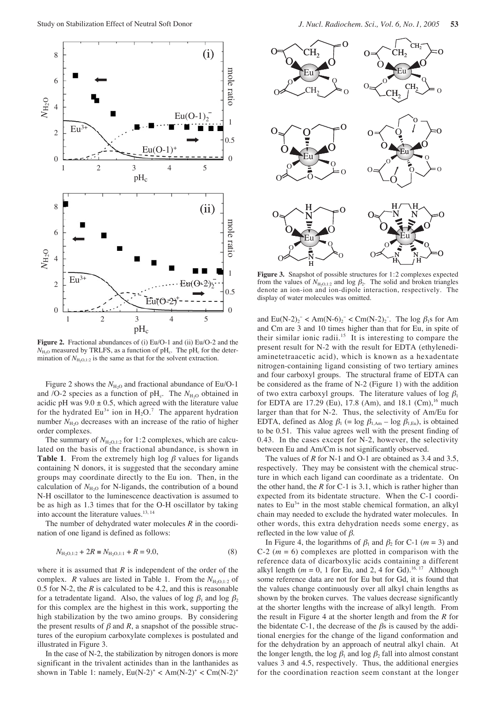

**Figure 2.** Fractional abundances of (i) Eu/O-1 and (ii) Eu/O-2 and the  $N_{\text{H}_2O}$  measured by TRLFS, as a function of pH<sub>c</sub>. The pH<sub>c</sub> for the determination of  $N_{\text{H}_2\text{O},1:2}$  is the same as that for the solvent extraction.

Figure 2 shows the  $N_{\text{H}_2O}$  and fractional abundance of Eu/O-1 and /O-2 species as a function of pH<sub>c</sub>. The  $N_{\text{H}_2O}$  obtained in acidic pH was  $9.0 \pm 0.5$ , which agreed with the literature value for the hydrated  $Eu^{3+}$  ion in  $H_2O$ .<sup>7</sup> The apparent hydration number  $N_{\text{H}_2O}$  decreases with an increase of the ratio of higher order complexes.

The summary of  $N_{\text{H}_2O,1:2}$  for 1:2 complexes, which are calculated on the basis of the fractional abundance, is shown in **Table 1.** From the extremely high log  $\beta$  values for ligands containing N donors, it is suggested that the secondary amine groups may coordinate directly to the Eu ion. Then, in the calculation of  $N_{\text{H}_2\text{O}}$  for N-ligands, the contribution of a bound N-H oscillator to the luminescence deactivation is assumed to be as high as 1.3 times that for the O-H oscillator by taking into account the literature values.<sup>13, 14</sup>

The number of dehydrated water molecules *R* in the coordination of one ligand is defined as follows:

$$
N_{\text{H}_2\text{O},1:2} + 2R \equiv N_{\text{H}_2\text{O},1:1} + R = 9.0,\tag{8}
$$

where it is assumed that  $R$  is independent of the order of the complex. *R* values are listed in Table 1. From the  $N_{\text{H}_2O,1:2}$  of 0.5 for N-2, the  $R$  is calculated to be 4.2, and this is reasonable for a tetradentate ligand. Also, the values of log  $\beta_1$  and log  $\beta_2$ for this complex are the highest in this work, supporting the high stabilization by the two amino groups. By considering the present results of  $\beta$  and  $R$ , a snapshot of the possible structures of the europium carboxylate complexes is postulated and illustrated in Figure 3.

In the case of  $N-2$ , the stabilization by nitrogen donors is more significant in the trivalent actinides than in the lanthanides as shown in Table 1: namely,  $Eu(N-2)^+ < Am(N-2)^+ < Cm(N-2)^+$ 



Figure 3. Snapshot of possible structures for 1:2 complexes expected from the values of  $N_{\text{H}_2O,1:2}$  and log  $\beta_2$ . The solid and broken triangles denote an ion-ion and ion-dipole interaction, respectively. The display of water molecules was omitted.

and  $Eu(N-2)_2^- < Am(N-6)_2^- < Cm(N-2)_2^-$ . The log  $\beta_1$ s for Am and Cm are 3 and 10 times higher than that for Eu, in spite of their similar ionic radii.<sup>15</sup> It is interesting to compare the present result for N-2 with the result for EDTA (ethylenediaminetetraacetic acid), which is known as a hexadentate nitrogen-containing ligand consisting of two tertiary amines and four carboxyl groups. The structural frame of EDTA can be considered as the frame of N-2 (Figure 1) with the addition of two extra carboxyl groups. The literature values of log  $\beta_1$ for EDTA are 17.29 (Eu), 17.8 (Am), and 18.1 (Cm),<sup>16</sup> much larger than that for N-2. Thus, the selectivity of Am/Eu for EDTA, defined as  $\Delta \log \beta_1$  (= log  $\beta_{1,Am}$  – log  $\beta_{1,Eu}$ ), is obtained to be 0.51. This value agrees well with the present finding of 0.43. In the cases except for N-2, however, the selectivity between Eu and Am/Cm is not significantly observed.

The values of *R* for N-1 and O-1 are obtained as 3.4 and 3.5, respectively. They may be consistent with the chemical structure in which each ligand can coordinate as a tridentate. On the other hand, the *R* for C-1 is 3.1, which is rather higher than expected from its bidentate structure. When the C-1 coordinates to  $Eu^{3+}$  in the most stable chemical formation, an alkyl chain may needed to exclude the hydrated water molecules. In other words, this extra dehydration needs some energy, as reflected in the low value of  $\beta$ .

In Figure 4, the logarithms of  $\beta_1$  and  $\beta_2$  for C-1 (*m* = 3) and  $C-2$  ( $m = 6$ ) complexes are plotted in comparison with the reference data of dicarboxylic acids containing a different alkyl length ( $m = 0$ , 1 for Eu, and 2, 4 for Gd).<sup>16, 17</sup> Although some reference data are not for Eu but for Gd, it is found that the values change continuously over all alkyl chain lengths as shown by the broken curves. The values decrease significantly at the shorter lengths with the increase of alkyl length. From the result in Figure 4 at the shorter length and from the *R* for the bidentate C-1, the decrease of the  $\beta$ s is caused by the additional energies for the change of the ligand conformation and for the dehydration by an approach of neutral alkyl chain. At the longer length, the log  $\beta_1$  and log  $\beta_2$  fall into almost constant values 3 and 4.5, respectively. Thus, the additional energies for the coordination reaction seem constant at the longer